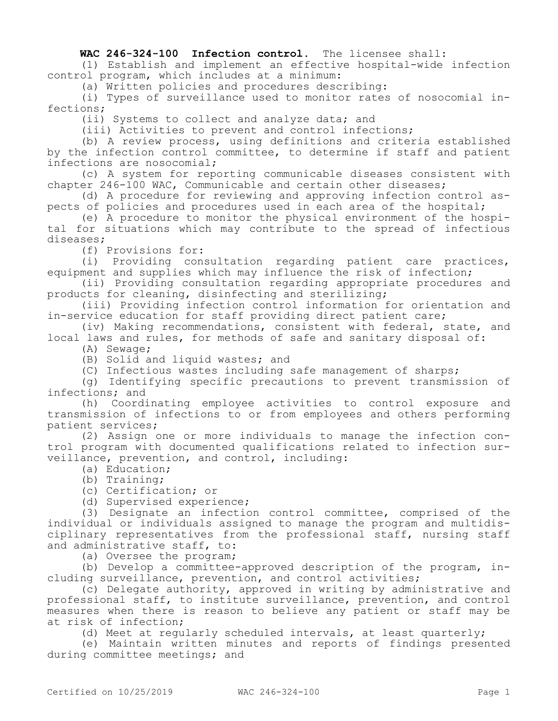## **WAC 246-324-100 Infection control.** The licensee shall:

(1) Establish and implement an effective hospital-wide infection control program, which includes at a minimum:

(a) Written policies and procedures describing:

(i) Types of surveillance used to monitor rates of nosocomial infections;

(ii) Systems to collect and analyze data; and

(iii) Activities to prevent and control infections;

(b) A review process, using definitions and criteria established by the infection control committee, to determine if staff and patient infections are nosocomial;

(c) A system for reporting communicable diseases consistent with chapter 246-100 WAC, Communicable and certain other diseases;

(d) A procedure for reviewing and approving infection control aspects of policies and procedures used in each area of the hospital;

(e) A procedure to monitor the physical environment of the hospital for situations which may contribute to the spread of infectious diseases;

(f) Provisions for:

(i) Providing consultation regarding patient care practices, equipment and supplies which may influence the risk of infection;

(ii) Providing consultation regarding appropriate procedures and products for cleaning, disinfecting and sterilizing;

(iii) Providing infection control information for orientation and in-service education for staff providing direct patient care;

(iv) Making recommendations, consistent with federal, state, and local laws and rules, for methods of safe and sanitary disposal of:

(A) Sewage;

(B) Solid and liquid wastes; and

(C) Infectious wastes including safe management of sharps;

(g) Identifying specific precautions to prevent transmission of infections; and

(h) Coordinating employee activities to control exposure and transmission of infections to or from employees and others performing patient services;

(2) Assign one or more individuals to manage the infection control program with documented qualifications related to infection surveillance, prevention, and control, including:

(a) Education;

(b) Training;

(c) Certification; or

(d) Supervised experience;

(3) Designate an infection control committee, comprised of the individual or individuals assigned to manage the program and multidisciplinary representatives from the professional staff, nursing staff and administrative staff, to:

(a) Oversee the program;

(b) Develop a committee-approved description of the program, including surveillance, prevention, and control activities;

(c) Delegate authority, approved in writing by administrative and professional staff, to institute surveillance, prevention, and control measures when there is reason to believe any patient or staff may be at risk of infection;

(d) Meet at regularly scheduled intervals, at least quarterly;

(e) Maintain written minutes and reports of findings presented during committee meetings; and